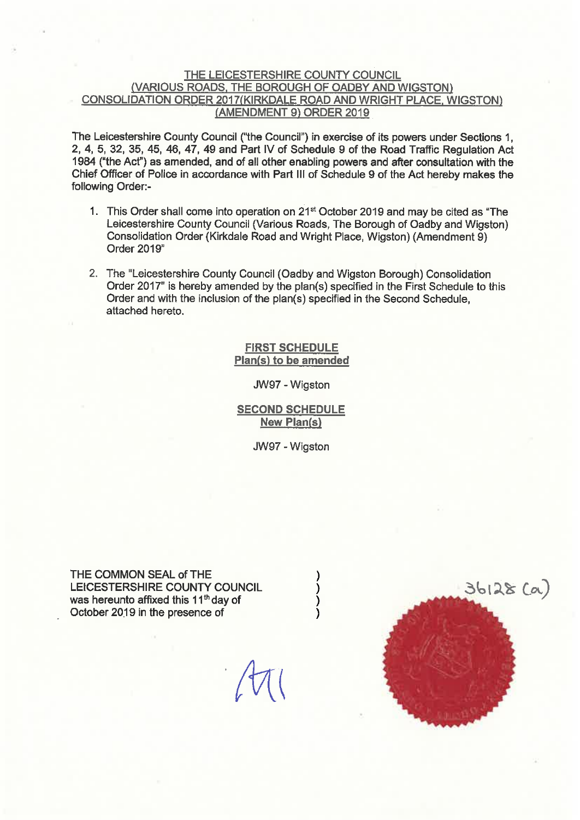#### THE LEICESTERSHIRE COUNTY COUNCIL (VARIOUS ROADS, THE BOROUGH OF OADBY AND WIGSTON) CONSOLIDATION ORDER 2017(KIRKDALE ROAD AND WRIGHT PLACE, WIGSTON) (AMENDMENT 9) ORDER 2019

The Leicestershire County Council ("the Council") in exercise of its powers under Sections 1. 2, 4, 5, 32, 35, 45, 46, 47, 49 and Part IV of Schedule 9 of the Road Traffic Regulation Act 1984 ("the Act") as amended, and of all other enabling powers and after consultation with the Chief Officer of Police in accordance with Part III of Schedule 9 of the Act hereby makes the following Order:-

- 1. This Order shall come into operation on 21<sup>st</sup> October 2019 and may be cited as "The Leicestershire County Council (Various Roads, The Borough of Oadby and Wigston) Consolidation Order (Kirkdale Road and Wright Place, Wigston) (Amendment 9) Order 2019"
- 2. The "Leicestershire County Council (Oadby and Wigston Borough) Consolidation Order 2017" is hereby amended by the plan(s) specified in the First Schedule to this Order and with the inclusion of the plan(s) specified in the Second Schedule, attached hereto.

**FIRST SCHEDULE** Plan(s) to be amended

JW97 - Wigston

**SECOND SCHEDULE New Plan(s)** 

JW97 - Wigston

THE COMMON SEAL of THE LEICESTERSHIRE COUNTY COUNCIL was hereunto affixed this 11<sup>th</sup> day of October 2019 in the presence of

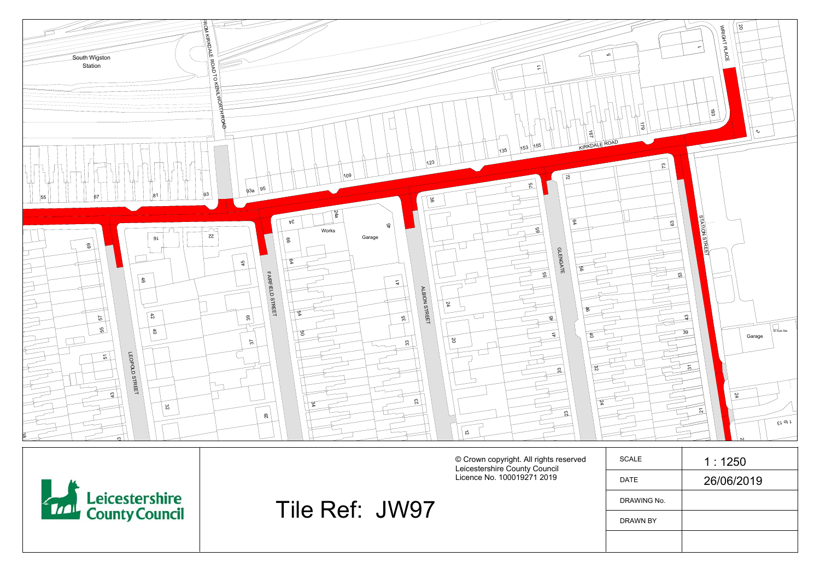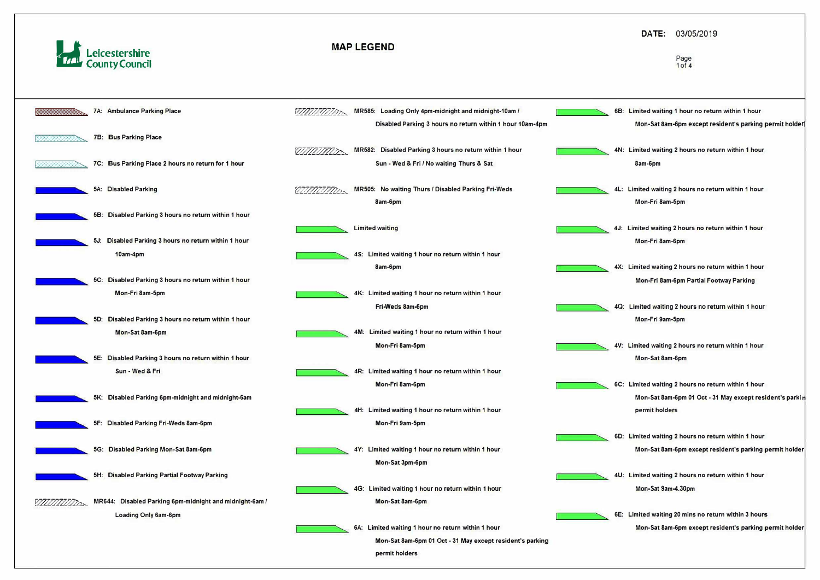



## **DATE:** 03/05/2019

#### **Page 1 of 4**

- **68: Limited waiting 1 hour no return within 1 hour Mon-Sat 8am-6pm except resident's parking permit holder**
- **4N: Limited waiting 2 hours no return within 1 hour 8am-6pm**
- **4L: Limited waiting 2 hours no return within 1 hour Mon-Fri 8am-5pm**
- **4J: Limited waiting 2 hours no return within 1 hour Mon-Fri 8am-6pm**
- **4X: Limited waiting 2 hours no return within 1 hour Mon-Fri 8am-6pm Partial Footway Parking**
- **40: Limited waiting 2 hours no return within 1 hour Mon-Fri 9am-5pm**
- **4V: Limited waiting 2 hours no return within 1 hour Mon-Sat 8am-6pm**
- **6C: Limited waiting 2 hours no return within 1 hour Mon-Sat 8am-6pm 01 Oct - 31 May except resident's parki permit holders**
- **60: Limited waiting 2 hours no return within 1 hour Mon-Sat 8am·6pm except resident's parking permit holder**
- **4U: Limited waiting 2 hours no return within 1 hour Mon-Sat 9am-4.30pm**
- **6E: Limited waiting 20 mins no return within 3 hours Mon-Sat 8am-6pm except resident's parking permit holder**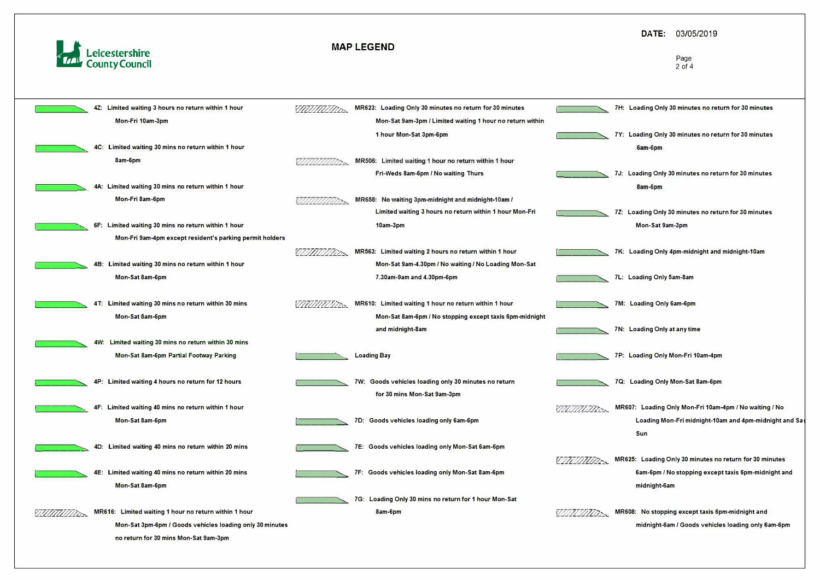

|              |     | Limited waiting 3 hours no return within 1 hour          |                    | MR623: Loading Only 30 minutes no return for 30 minutes   |                 |              |
|--------------|-----|----------------------------------------------------------|--------------------|-----------------------------------------------------------|-----------------|--------------|
|              |     | Mon-Fri 10am-3pm                                         |                    | Mon-Sat 9am-3pm / Limited waiting 1 hour no return within |                 |              |
|              |     |                                                          |                    | 1 hour Mon-Sat 3pm-6pm                                    |                 | $\mathbf{7}$ |
|              |     | 4C: Limited waiting 30 mins no return within 1 hour      |                    |                                                           |                 |              |
|              |     | 8am-6pm                                                  |                    | MR506: Limited waiting 1 hour no return within 1 hour     |                 |              |
|              |     |                                                          |                    | Fri-Weds 8am-6pm / No waiting Thurs                       |                 | $\sqrt{2}$   |
|              |     | 4A: Limited waiting 30 mins no return within 1 hour      |                    |                                                           |                 |              |
|              |     | Mon-Fri 8am-6pm                                          |                    | MR658: No waiting 3pm-midnight and midnight-10am /        |                 |              |
|              |     |                                                          |                    | Limited waiting 3 hours no return within 1 hour Mon-Fri   |                 |              |
|              |     | 6F: Limited waiting 30 mins no return within 1 hour      |                    | 10am-3pm                                                  |                 |              |
|              |     | Mon-Fri 9am-4pm except resident's parking permit holders |                    |                                                           |                 |              |
|              |     |                                                          |                    | MR563: Limited waiting 2 hours no return within 1 hour    |                 |              |
|              | 4B: | Limited waiting 30 mins no return within 1 hour          |                    | Mon-Sat 9am-4.30pm / No waiting / No Loading Mon-Sat      |                 |              |
|              |     | Mon-Sat 8am-6pm                                          |                    | 7.30am-9am and 4.30pm-6pm                                 |                 | 7L           |
|              |     |                                                          |                    |                                                           |                 |              |
|              |     | 4T: Limited waiting 30 mins no return within 30 mins     |                    | MR610: Limited waiting 1 hour no return within 1 hour     |                 | 70           |
|              |     | Mon-Sat 8am-6pm                                          |                    | Mon-Sat 8am-6pm / No stopping except taxis 6pm-midnight   |                 |              |
|              |     |                                                          |                    | and midnight-8am                                          |                 | 70           |
|              |     | 4W: Limited waiting 30 mins no return within 30 mins     |                    |                                                           |                 |              |
|              |     | Mon-Sat 8am-6pm Partial Footway Parking                  | <b>Loading Bay</b> |                                                           |                 |              |
|              |     |                                                          |                    |                                                           |                 |              |
|              |     | 4P: Limited waiting 4 hours no return for 12 hours       |                    | 7W: Goods vehicles loading only 30 minutes no return      |                 |              |
|              |     |                                                          |                    | for 30 mins Mon-Sat 9am-3pm                               |                 |              |
|              |     | 4F: Limited waiting 40 mins no return within 1 hour      |                    |                                                           |                 |              |
|              |     | Mon-Sat 8am-6pm                                          |                    | 7D: Goods vehicles loading only 6am-6pm                   |                 |              |
|              |     |                                                          |                    |                                                           |                 |              |
|              |     | 4D: Limited waiting 40 mins no return within 20 mins     |                    | 7E: Goods vehicles loading only Mon-Sat 6am-6pm           |                 |              |
|              |     |                                                          |                    |                                                           | <u>VIIIIIII</u> |              |
|              |     | 4E: Limited waiting 40 mins no return within 20 mins     |                    | 7F: Goods vehicles loading only Mon-Sat 8am-6pm           |                 |              |
|              |     | Mon-Sat 8am-6pm                                          |                    |                                                           |                 |              |
|              |     |                                                          |                    | 7G: Loading Only 30 mins no return for 1 hour Mon-Sat     |                 |              |
| //////////// |     | MR616: Limited waiting 1 hour no return within 1 hour    |                    | 8am-6pm                                                   |                 |              |
|              |     | Mon-Sat 3pm-6pm / Goods vehicles loading only 30 minutes |                    |                                                           |                 |              |
|              |     | no return for 30 mins Mon-Sat 9am-3pm                    |                    |                                                           |                 |              |

## **DATE:** 03/05/2019

#### Page 2 of 4

**1'------"'� 7H: Loading Only 30 minutes no return for 30 minutes** 

- **1'------"'� 7Y: Loading Only 30 minutes no return for 30 minutes**  6am-6pm
- **J:** Loading Only 30 minutes no return for 30 minutes 8am-6pm
- **1'------"'� 72: Loading Only 30 minutes no return for 30 minutes Mon-Sat 9am-3pm**
- **K: Loading Only 4pm-midnight and midnight-10am**
- **1'------"'� 7L: Loading Only 5am-8am**
- **M: Loading Only 6am-6pm**
- **1'----------� 7N: Loading Only at any time**
- **!,\_ \_\_\_\_\_ "'-� 7P: Loading Only Mon-Fri 10am-4pm**
- **1'----------� 7Q: Loading Only Mon-Sat 8am-6pm**
- *W�,,&.2',a.-,.* **MR607: Loading Only Mon-Fri 10am-4pm** *I* **No waiting** *I* **No Loading Mon-Fri midnight-10am and 4pm-midnight and Sa Sun**
- **MR625: Loading Only 30 minutes no return for 30 minutes 6am-6pm** *I* **No stopping except taxis &pm-midnight and midnight-Sam**
- **IR608: No stopping except taxis 6pm-midnight and midnight-Sam** *I* **Goods vehicles loading only 6am-6pm**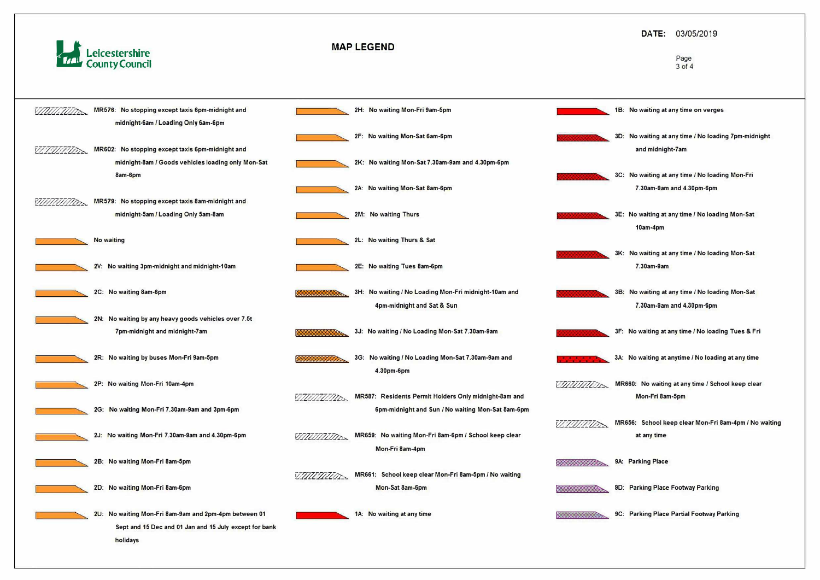

### **DATE:** 03/05/2019

#### Page 3 of 4



- **18: No waiting at any time on verges**
- **30: No waiting at any time** *I* **No loading 7pm-midnight and midnight-7am**
- **3C: No waiting at any time** *I* **No loading Mon-Fri 7.30am-9am and 4.30pm-6pm**
- **3E: No waiting at any time** *I* **No loading Mon-Sat 10am-4pm**
- **3K: No waiting at any time** *I* **No loading Mon-Sat 7.30am-9am**
- **38: No waiting at any time** *I* **No loading Mon-Sat 7.30am-9am and 4.30pm-6pm**
- **3F: No waiting at any time** *I* **No loading Tues & Fri**
- **3A: No waiting at anytime** *I* **No loading at any time**
- 
- $\sqrt{77777772}$ , MR656: School keep clear Mon-Fri 8am-4pm / No waiting **at any time** 
	-
- **� 90: Parking Place Footway Parking**
- **� 9C: Parking Place Partial Footway Parking**